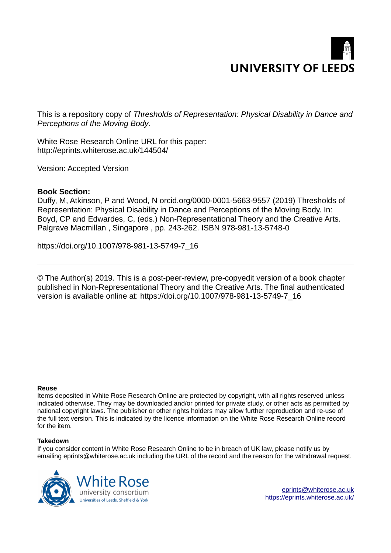# **UNIVERSITY OF LEEDS**

This is a repository copy of *Thresholds of Representation: Physical Disability in Dance and Perceptions of the Moving Body*.

White Rose Research Online URL for this paper: http://eprints.whiterose.ac.uk/144504/

Version: Accepted Version

### **Book Section:**

Duffy, M, Atkinson, P and Wood, N orcid.org/0000-0001-5663-9557 (2019) Thresholds of Representation: Physical Disability in Dance and Perceptions of the Moving Body. In: Boyd, CP and Edwardes, C, (eds.) Non-Representational Theory and the Creative Arts. Palgrave Macmillan , Singapore , pp. 243-262. ISBN 978-981-13-5748-0

https://doi.org/10.1007/978-981-13-5749-7\_16

© The Author(s) 2019. This is a post-peer-review, pre-copyedit version of a book chapter published in Non-Representational Theory and the Creative Arts. The final authenticated version is available online at: https://doi.org/10.1007/978-981-13-5749-7\_16

#### **Reuse**

Items deposited in White Rose Research Online are protected by copyright, with all rights reserved unless indicated otherwise. They may be downloaded and/or printed for private study, or other acts as permitted by national copyright laws. The publisher or other rights holders may allow further reproduction and re-use of the full text version. This is indicated by the licence information on the White Rose Research Online record for the item.

#### **Takedown**

If you consider content in White Rose Research Online to be in breach of UK law, please notify us by emailing eprints@whiterose.ac.uk including the URL of the record and the reason for the withdrawal request.



[eprints@whiterose.ac.uk](mailto:eprints@whiterose.ac.uk) <https://eprints.whiterose.ac.uk/>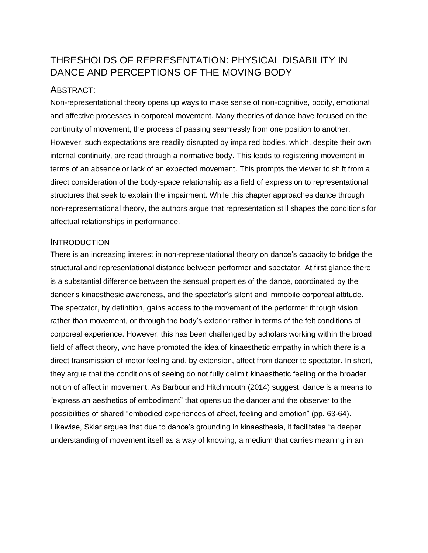# THRESHOLDS OF REPRESENTATION: PHYSICAL DISABILITY IN DANCE AND PERCEPTIONS OF THE MOVING BODY

# ABSTRACT:

Non-representational theory opens up ways to make sense of non-cognitive, bodily, emotional and affective processes in corporeal movement. Many theories of dance have focused on the continuity of movement, the process of passing seamlessly from one position to another. However, such expectations are readily disrupted by impaired bodies, which, despite their own internal continuity, are read through a normative body. This leads to registering movement in terms of an absence or lack of an expected movement. This prompts the viewer to shift from a direct consideration of the body-space relationship as a field of expression to representational structures that seek to explain the impairment. While this chapter approaches dance through non-representational theory, the authors argue that representation still shapes the conditions for affectual relationships in performance.

# **INTRODUCTION**

There is an increasing interest in non-representational theory on dance's capacity to bridge the structural and representational distance between performer and spectator. At first glance there is a substantial difference between the sensual properties of the dance, coordinated by the dancer's kinaesthesic awareness, and the spectator's silent and immobile corporeal attitude. The spectator, by definition, gains access to the movement of the performer through vision rather than movement, or through the body's exterior rather in terms of the felt conditions of corporeal experience. However, this has been challenged by scholars working within the broad field of affect theory, who have promoted the idea of kinaesthetic empathy in which there is a direct transmission of motor feeling and, by extension, affect from dancer to spectator. In short, they argue that the conditions of seeing do not fully delimit kinaesthetic feeling or the broader notion of affect in movement. As Barbour and Hitchmouth (2014) suggest, dance is a means to "express an aesthetics of embodiment" that opens up the dancer and the observer to the possibilities of shared "embodied experiences of affect, feeling and emotion" (pp. 63-64). Likewise, Sklar argues that due to dance's grounding in kinaesthesia, it facilitates "a deeper understanding of movement itself as a way of knowing, a medium that carries meaning in an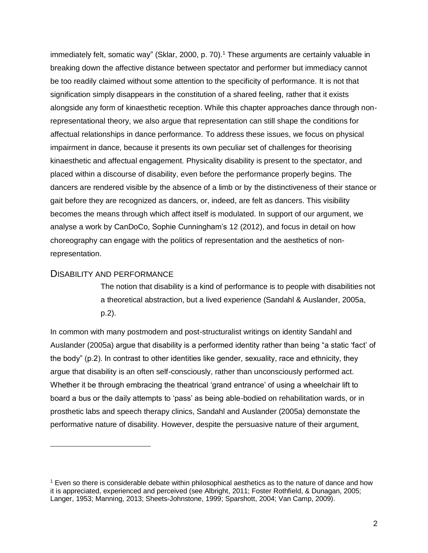immediately felt, somatic way" (Sklar, 2000, p. 70).<sup>1</sup> These arguments are certainly valuable in breaking down the affective distance between spectator and performer but immediacy cannot be too readily claimed without some attention to the specificity of performance. It is not that signification simply disappears in the constitution of a shared feeling, rather that it exists alongside any form of kinaesthetic reception. While this chapter approaches dance through nonrepresentational theory, we also argue that representation can still shape the conditions for affectual relationships in dance performance. To address these issues, we focus on physical impairment in dance, because it presents its own peculiar set of challenges for theorising kinaesthetic and affectual engagement. Physicality disability is present to the spectator, and placed within a discourse of disability, even before the performance properly begins. The dancers are rendered visible by the absence of a limb or by the distinctiveness of their stance or gait before they are recognized as dancers, or, indeed, are felt as dancers. This visibility becomes the means through which affect itself is modulated. In support of our argument, we analyse a work by CanDoCo, Sophie Cunningham's 12 (2012), and focus in detail on how choreography can engage with the politics of representation and the aesthetics of nonrepresentation.

#### DISABILITY AND PERFORMANCE

The notion that disability is a kind of performance is to people with disabilities not a theoretical abstraction, but a lived experience (Sandahl & Auslander, 2005a, p.2).

In common with many postmodern and post-structuralist writings on identity Sandahl and Auslander (2005a) argue that disability is a performed identity rather than being "a static 'fact' of the body" (p.2). In contrast to other identities like gender, sexuality, race and ethnicity, they argue that disability is an often self-consciously, rather than unconsciously performed act. Whether it be through embracing the theatrical 'grand entrance' of using a wheelchair lift to board a bus or the daily attempts to 'pass' as being able-bodied on rehabilitation wards, or in prosthetic labs and speech therapy clinics, Sandahl and Auslander (2005a) demonstate the performative nature of disability. However, despite the persuasive nature of their argument,

<sup>&</sup>lt;sup>1</sup> Even so there is considerable debate within philosophical aesthetics as to the nature of dance and how it is appreciated, experienced and perceived (see Albright, 2011; Foster Rothfield, & Dunagan, 2005; Langer, 1953; Manning, 2013; Sheets-Johnstone, 1999; Sparshott, 2004; Van Camp, 2009).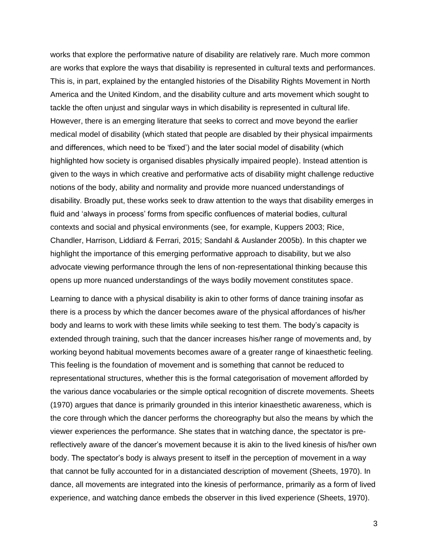works that explore the performative nature of disability are relatively rare. Much more common are works that explore the ways that disability is represented in cultural texts and performances. This is, in part, explained by the entangled histories of the Disability Rights Movement in North America and the United Kindom, and the disability culture and arts movement which sought to tackle the often unjust and singular ways in which disability is represented in cultural life. However, there is an emerging literature that seeks to correct and move beyond the earlier medical model of disability (which stated that people are disabled by their physical impairments and differences, which need to be 'fixed') and the later social model of disability (which highlighted how society is organised disables physically impaired people). Instead attention is given to the ways in which creative and performative acts of disability might challenge reductive notions of the body, ability and normality and provide more nuanced understandings of disability. Broadly put, these works seek to draw attention to the ways that disability emerges in fluid and 'always in process' forms from specific confluences of material bodies, cultural contexts and social and physical environments (see, for example, Kuppers 2003; Rice, Chandler, Harrison, Liddiard & Ferrari, 2015; Sandahl & Auslander 2005b). In this chapter we highlight the importance of this emerging performative approach to disability, but we also advocate viewing performance through the lens of non-representational thinking because this opens up more nuanced understandings of the ways bodily movement constitutes space.

Learning to dance with a physical disability is akin to other forms of dance training insofar as there is a process by which the dancer becomes aware of the physical affordances of his/her body and learns to work with these limits while seeking to test them. The body's capacity is extended through training, such that the dancer increases his/her range of movements and, by working beyond habitual movements becomes aware of a greater range of kinaesthetic feeling. This feeling is the foundation of movement and is something that cannot be reduced to representational structures, whether this is the formal categorisation of movement afforded by the various dance vocabularies or the simple optical recognition of discrete movements. Sheets (1970) argues that dance is primarily grounded in this interior kinaesthetic awareness, which is the core through which the dancer performs the choreography but also the means by which the viewer experiences the performance. She states that in watching dance, the spectator is prereflectively aware of the dancer's movement because it is akin to the lived kinesis of his/her own body. The spectator's body is always present to itself in the perception of movement in a way that cannot be fully accounted for in a distanciated description of movement (Sheets, 1970). In dance, all movements are integrated into the kinesis of performance, primarily as a form of lived experience, and watching dance embeds the observer in this lived experience (Sheets, 1970).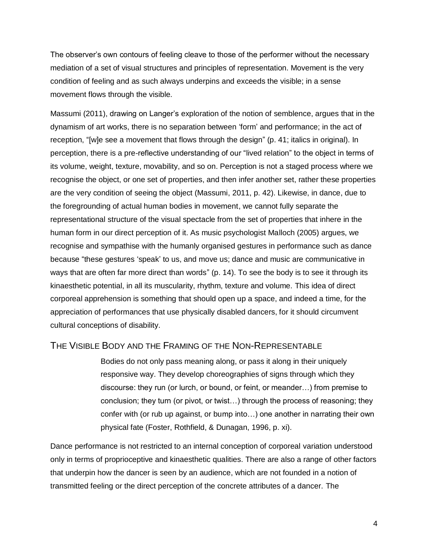The observer's own contours of feeling cleave to those of the performer without the necessary mediation of a set of visual structures and principles of representation. Movement is the very condition of feeling and as such always underpins and exceeds the visible; in a sense movement flows through the visible.

Massumi (2011), drawing on Langer's exploration of the notion of semblence, argues that in the dynamism of art works, there is no separation between 'form' and performance; in the act of reception, "[w]e see a movement that flows through the design" (p. 41; italics in original). In perception, there is a pre-reflective understanding of our "lived relation" to the object in terms of its volume, weight, texture, movability, and so on. Perception is not a staged process where we recognise the object, or one set of properties, and then infer another set, rather these properties are the very condition of seeing the object (Massumi, 2011, p. 42). Likewise, in dance, due to the foregrounding of actual human bodies in movement, we cannot fully separate the representational structure of the visual spectacle from the set of properties that inhere in the human form in our direct perception of it. As music psychologist Malloch (2005) argues, we recognise and sympathise with the humanly organised gestures in performance such as dance because "these gestures 'speak' to us, and move us; dance and music are communicative in ways that are often far more direct than words" (p. 14). To see the body is to see it through its kinaesthetic potential, in all its muscularity, rhythm, texture and volume. This idea of direct corporeal apprehension is something that should open up a space, and indeed a time, for the appreciation of performances that use physically disabled dancers, for it should circumvent cultural conceptions of disability.

# THE VISIBLE BODY AND THE FRAMING OF THE NON-REPRESENTABLE

Bodies do not only pass meaning along, or pass it along in their uniquely responsive way. They develop choreographies of signs through which they discourse: they run (or lurch, or bound, or feint, or meander…) from premise to conclusion; they turn (or pivot, or twist…) through the process of reasoning; they confer with (or rub up against, or bump into…) one another in narrating their own physical fate (Foster, Rothfield, & Dunagan, 1996, p. xi).

Dance performance is not restricted to an internal conception of corporeal variation understood only in terms of proprioceptive and kinaesthetic qualities. There are also a range of other factors that underpin how the dancer is seen by an audience, which are not founded in a notion of transmitted feeling or the direct perception of the concrete attributes of a dancer. The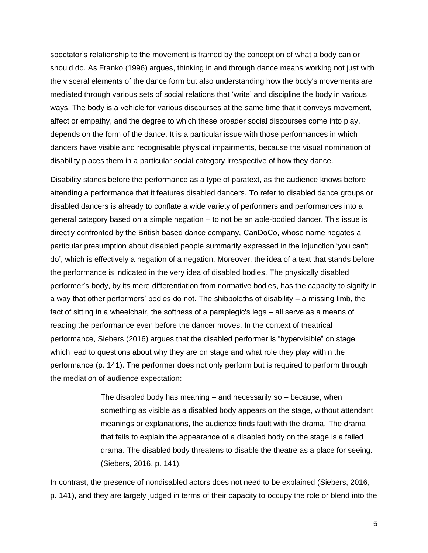spectator's relationship to the movement is framed by the conception of what a body can or should do. As Franko (1996) argues, thinking in and through dance means working not just with the visceral elements of the dance form but also understanding how the body's movements are mediated through various sets of social relations that 'write' and discipline the body in various ways. The body is a vehicle for various discourses at the same time that it conveys movement, affect or empathy, and the degree to which these broader social discourses come into play, depends on the form of the dance. It is a particular issue with those performances in which dancers have visible and recognisable physical impairments, because the visual nomination of disability places them in a particular social category irrespective of how they dance.

Disability stands before the performance as a type of paratext, as the audience knows before attending a performance that it features disabled dancers. To refer to disabled dance groups or disabled dancers is already to conflate a wide variety of performers and performances into a general category based on a simple negation – to not be an able-bodied dancer. This issue is directly confronted by the British based dance company, CanDoCo, whose name negates a particular presumption about disabled people summarily expressed in the injunction 'you can't do', which is effectively a negation of a negation. Moreover, the idea of a text that stands before the performance is indicated in the very idea of disabled bodies. The physically disabled performer's body, by its mere differentiation from normative bodies, has the capacity to signify in a way that other performers' bodies do not. The shibboleths of disability – a missing limb, the fact of sitting in a wheelchair, the softness of a paraplegic's legs – all serve as a means of reading the performance even before the dancer moves. In the context of theatrical performance, Siebers (2016) argues that the disabled performer is "hypervisible" on stage, which lead to questions about why they are on stage and what role they play within the performance (p. 141). The performer does not only perform but is required to perform through the mediation of audience expectation:

> The disabled body has meaning – and necessarily so – because, when something as visible as a disabled body appears on the stage, without attendant meanings or explanations, the audience finds fault with the drama. The drama that fails to explain the appearance of a disabled body on the stage is a failed drama. The disabled body threatens to disable the theatre as a place for seeing. (Siebers, 2016, p. 141).

In contrast, the presence of nondisabled actors does not need to be explained (Siebers, 2016, p. 141), and they are largely judged in terms of their capacity to occupy the role or blend into the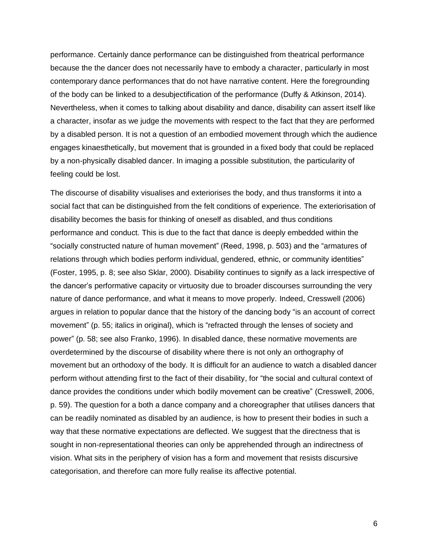performance. Certainly dance performance can be distinguished from theatrical performance because the the dancer does not necessarily have to embody a character, particularly in most contemporary dance performances that do not have narrative content. Here the foregrounding of the body can be linked to a desubjectification of the performance (Duffy & Atkinson, 2014). Nevertheless, when it comes to talking about disability and dance, disability can assert itself like a character, insofar as we judge the movements with respect to the fact that they are performed by a disabled person. It is not a question of an embodied movement through which the audience engages kinaesthetically, but movement that is grounded in a fixed body that could be replaced by a non-physically disabled dancer. In imaging a possible substitution, the particularity of feeling could be lost.

The discourse of disability visualises and exteriorises the body, and thus transforms it into a social fact that can be distinguished from the felt conditions of experience. The exteriorisation of disability becomes the basis for thinking of oneself as disabled, and thus conditions performance and conduct. This is due to the fact that dance is deeply embedded within the "socially constructed nature of human movement" (Reed, 1998, p. 503) and the "armatures of relations through which bodies perform individual, gendered, ethnic, or community identities" (Foster, 1995, p. 8; see also Sklar, 2000). Disability continues to signify as a lack irrespective of the dancer's performative capacity or virtuosity due to broader discourses surrounding the very nature of dance performance, and what it means to move properly. Indeed, Cresswell (2006) argues in relation to popular dance that the history of the dancing body "is an account of correct movement" (p. 55; italics in original), which is "refracted through the lenses of society and power" (p. 58; see also Franko, 1996). In disabled dance, these normative movements are overdetermined by the discourse of disability where there is not only an orthography of movement but an orthodoxy of the body. It is difficult for an audience to watch a disabled dancer perform without attending first to the fact of their disability, for "the social and cultural context of dance provides the conditions under which bodily movement can be creative" (Cresswell, 2006, p. 59). The question for a both a dance company and a choreographer that utilises dancers that can be readily nominated as disabled by an audience, is how to present their bodies in such a way that these normative expectations are deflected. We suggest that the directness that is sought in non-representational theories can only be apprehended through an indirectness of vision. What sits in the periphery of vision has a form and movement that resists discursive categorisation, and therefore can more fully realise its affective potential.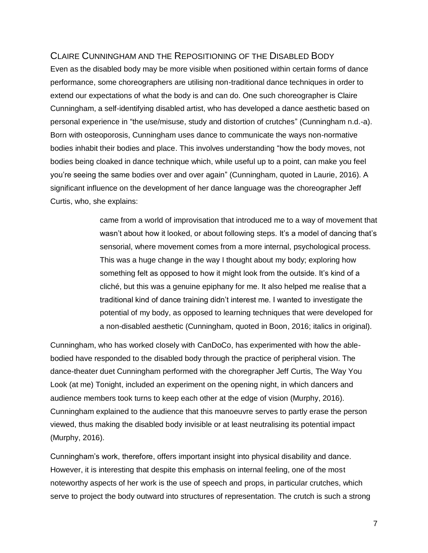## CLAIRE CUNNINGHAM AND THE REPOSITIONING OF THE DISABLED BODY

Even as the disabled body may be more visible when positioned within certain forms of dance performance, some choreographers are utilising non-traditional dance techniques in order to extend our expectations of what the body is and can do. One such choreographer is Claire Cunningham, a self-identifying disabled artist, who has developed a dance aesthetic based on personal experience in "the use/misuse, study and distortion of crutches" (Cunningham n.d.-a). Born with osteoporosis, Cunningham uses dance to communicate the ways non-normative bodies inhabit their bodies and place. This involves understanding "how the body moves, not bodies being cloaked in dance technique which, while useful up to a point, can make you feel you're seeing the same bodies over and over again" (Cunningham, quoted in Laurie, 2016). A significant influence on the development of her dance language was the choreographer Jeff Curtis, who, she explains:

> came from a world of improvisation that introduced me to a way of movement that wasn't about how it looked, or about following steps. It's a model of dancing that's sensorial, where movement comes from a more internal, psychological process. This was a huge change in the way I thought about my body; exploring how something felt as opposed to how it might look from the outside. It's kind of a cliché, but this was a genuine epiphany for me. It also helped me realise that a traditional kind of dance training didn't interest me. I wanted to investigate the potential of my body, as opposed to learning techniques that were developed for a non-disabled aesthetic (Cunningham, quoted in Boon, 2016; italics in original).

Cunningham, who has worked closely with CanDoCo, has experimented with how the ablebodied have responded to the disabled body through the practice of peripheral vision. The dance-theater duet Cunningham performed with the choregrapher Jeff Curtis, The Way You Look (at me) Tonight, included an experiment on the opening night, in which dancers and audience members took turns to keep each other at the edge of vision (Murphy, 2016). Cunningham explained to the audience that this manoeuvre serves to partly erase the person viewed, thus making the disabled body invisible or at least neutralising its potential impact (Murphy, 2016).

Cunningham's work, therefore, offers important insight into physical disability and dance. However, it is interesting that despite this emphasis on internal feeling, one of the most noteworthy aspects of her work is the use of speech and props, in particular crutches, which serve to project the body outward into structures of representation. The crutch is such a strong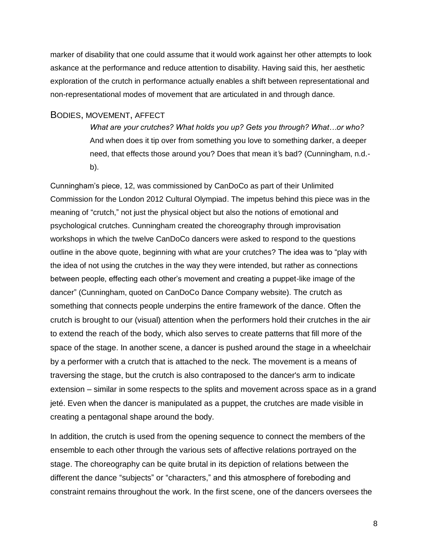marker of disability that one could assume that it would work against her other attempts to look askance at the performance and reduce attention to disability. Having said this, her aesthetic exploration of the crutch in performance actually enables a shift between representational and non-representational modes of movement that are articulated in and through dance.

#### BODIES, MOVEMENT, AFFECT

*What are your crutches? What holds you up? Gets you through? What…or who?*  And when does it tip over from something you love to something darker, a deeper need, that effects those around you? Does that mean it*'*s bad? (Cunningham, n.d. b).

Cunningham's piece, 12, was commissioned by CanDoCo as part of their Unlimited Commission for the London 2012 Cultural Olympiad. The impetus behind this piece was in the meaning of "crutch," not just the physical object but also the notions of emotional and psychological crutches. Cunningham created the choreography through improvisation workshops in which the twelve CanDoCo dancers were asked to respond to the questions outline in the above quote, beginning with what are your crutches? The idea was to "play with the idea of not using the crutches in the way they were intended, but rather as connections between people, effecting each other's movement and creating a puppet-like image of the dancer" (Cunningham, quoted on CanDoCo Dance Company website). The crutch as something that connects people underpins the entire framework of the dance. Often the crutch is brought to our (visual) attention when the performers hold their crutches in the air to extend the reach of the body, which also serves to create patterns that fill more of the space of the stage. In another scene, a dancer is pushed around the stage in a wheelchair by a performer with a crutch that is attached to the neck. The movement is a means of traversing the stage, but the crutch is also contraposed to the dancer's arm to indicate extension – similar in some respects to the splits and movement across space as in a grand jeté. Even when the dancer is manipulated as a puppet, the crutches are made visible in creating a pentagonal shape around the body.

In addition, the crutch is used from the opening sequence to connect the members of the ensemble to each other through the various sets of affective relations portrayed on the stage. The choreography can be quite brutal in its depiction of relations between the different the dance "subjects" or "characters," and this atmosphere of foreboding and constraint remains throughout the work. In the first scene, one of the dancers oversees the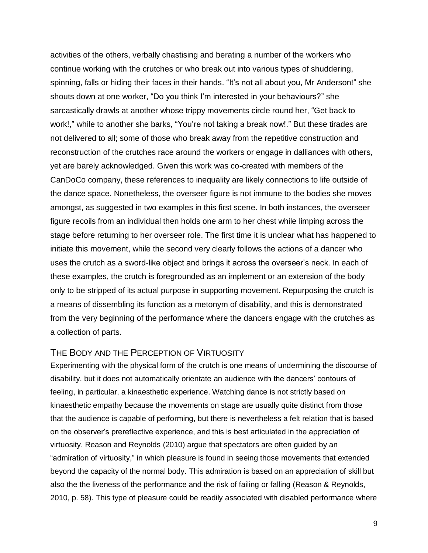activities of the others, verbally chastising and berating a number of the workers who continue working with the crutches or who break out into various types of shuddering, spinning, falls or hiding their faces in their hands. "It's not all about you, Mr Anderson!" she shouts down at one worker, "Do you think I'm interested in your behaviours?" she sarcastically drawls at another whose trippy movements circle round her, "Get back to work!," while to another she barks, "You're not taking a break now!." But these tirades are not delivered to all; some of those who break away from the repetitive construction and reconstruction of the crutches race around the workers or engage in dalliances with others, yet are barely acknowledged. Given this work was co-created with members of the CanDoCo company, these references to inequality are likely connections to life outside of the dance space. Nonetheless, the overseer figure is not immune to the bodies she moves amongst, as suggested in two examples in this first scene. In both instances, the overseer figure recoils from an individual then holds one arm to her chest while limping across the stage before returning to her overseer role. The first time it is unclear what has happened to initiate this movement, while the second very clearly follows the actions of a dancer who uses the crutch as a sword-like object and brings it across the overseer's neck. In each of these examples, the crutch is foregrounded as an implement or an extension of the body only to be stripped of its actual purpose in supporting movement. Repurposing the crutch is a means of dissembling its function as a metonym of disability, and this is demonstrated from the very beginning of the performance where the dancers engage with the crutches as a collection of parts.

#### THE BODY AND THE PERCEPTION OF VIRTUOSITY

Experimenting with the physical form of the crutch is one means of undermining the discourse of disability, but it does not automatically orientate an audience with the dancers' contours of feeling, in particular, a kinaesthetic experience. Watching dance is not strictly based on kinaesthetic empathy because the movements on stage are usually quite distinct from those that the audience is capable of performing, but there is nevertheless a felt relation that is based on the observer's prereflective experience, and this is best articulated in the appreciation of virtuosity. Reason and Reynolds (2010) argue that spectators are often guided by an "admiration of virtuosity," in which pleasure is found in seeing those movements that extended beyond the capacity of the normal body. This admiration is based on an appreciation of skill but also the the liveness of the performance and the risk of failing or falling (Reason & Reynolds, 2010, p. 58). This type of pleasure could be readily associated with disabled performance where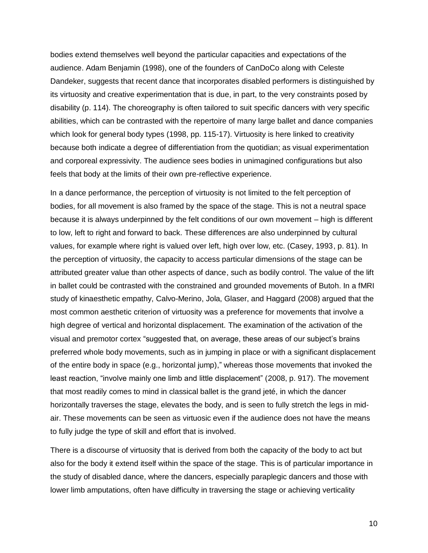bodies extend themselves well beyond the particular capacities and expectations of the audience. Adam Benjamin (1998), one of the founders of CanDoCo along with Celeste Dandeker, suggests that recent dance that incorporates disabled performers is distinguished by its virtuosity and creative experimentation that is due, in part, to the very constraints posed by disability (p. 114). The choreography is often tailored to suit specific dancers with very specific abilities, which can be contrasted with the repertoire of many large ballet and dance companies which look for general body types (1998, pp. 115-17). Virtuosity is here linked to creativity because both indicate a degree of differentiation from the quotidian; as visual experimentation and corporeal expressivity. The audience sees bodies in unimagined configurations but also feels that body at the limits of their own pre-reflective experience.

In a dance performance, the perception of virtuosity is not limited to the felt perception of bodies, for all movement is also framed by the space of the stage. This is not a neutral space because it is always underpinned by the felt conditions of our own movement – high is different to low, left to right and forward to back. These differences are also underpinned by cultural values, for example where right is valued over left, high over low, etc. (Casey, 1993, p. 81). In the perception of virtuosity, the capacity to access particular dimensions of the stage can be attributed greater value than other aspects of dance, such as bodily control. The value of the lift in ballet could be contrasted with the constrained and grounded movements of Butoh. In a fMRI study of kinaesthetic empathy, Calvo-Merino, Jola, Glaser, and Haggard (2008) argued that the most common aesthetic criterion of virtuosity was a preference for movements that involve a high degree of vertical and horizontal displacement. The examination of the activation of the visual and premotor cortex "suggested that, on average, these areas of our subject's brains preferred whole body movements, such as in jumping in place or with a significant displacement of the entire body in space (e.g., horizontal jump)," whereas those movements that invoked the least reaction, "involve mainly one limb and little displacement" (2008, p. 917). The movement that most readily comes to mind in classical ballet is the grand jeté, in which the dancer horizontally traverses the stage, elevates the body, and is seen to fully stretch the legs in midair. These movements can be seen as virtuosic even if the audience does not have the means to fully judge the type of skill and effort that is involved.

There is a discourse of virtuosity that is derived from both the capacity of the body to act but also for the body it extend itself within the space of the stage. This is of particular importance in the study of disabled dance, where the dancers, especially paraplegic dancers and those with lower limb amputations, often have difficulty in traversing the stage or achieving verticality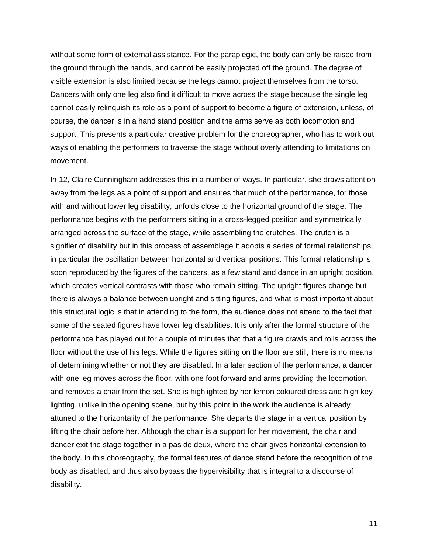without some form of external assistance. For the paraplegic, the body can only be raised from the ground through the hands, and cannot be easily projected off the ground. The degree of visible extension is also limited because the legs cannot project themselves from the torso. Dancers with only one leg also find it difficult to move across the stage because the single leg cannot easily relinquish its role as a point of support to become a figure of extension, unless, of course, the dancer is in a hand stand position and the arms serve as both locomotion and support. This presents a particular creative problem for the choreographer, who has to work out ways of enabling the performers to traverse the stage without overly attending to limitations on movement.

In 12, Claire Cunningham addresses this in a number of ways. In particular, she draws attention away from the legs as a point of support and ensures that much of the performance, for those with and without lower leg disability, unfolds close to the horizontal ground of the stage. The performance begins with the performers sitting in a cross-legged position and symmetrically arranged across the surface of the stage, while assembling the crutches. The crutch is a signifier of disability but in this process of assemblage it adopts a series of formal relationships, in particular the oscillation between horizontal and vertical positions. This formal relationship is soon reproduced by the figures of the dancers, as a few stand and dance in an upright position, which creates vertical contrasts with those who remain sitting. The upright figures change but there is always a balance between upright and sitting figures, and what is most important about this structural logic is that in attending to the form, the audience does not attend to the fact that some of the seated figures have lower leg disabilities. It is only after the formal structure of the performance has played out for a couple of minutes that that a figure crawls and rolls across the floor without the use of his legs. While the figures sitting on the floor are still, there is no means of determining whether or not they are disabled. In a later section of the performance, a dancer with one leg moves across the floor, with one foot forward and arms providing the locomotion, and removes a chair from the set. She is highlighted by her lemon coloured dress and high key lighting, unlike in the opening scene, but by this point in the work the audience is already attuned to the horizontality of the performance. She departs the stage in a vertical position by lifting the chair before her. Although the chair is a support for her movement, the chair and dancer exit the stage together in a pas de deux, where the chair gives horizontal extension to the body. In this choreography, the formal features of dance stand before the recognition of the body as disabled, and thus also bypass the hypervisibility that is integral to a discourse of disability.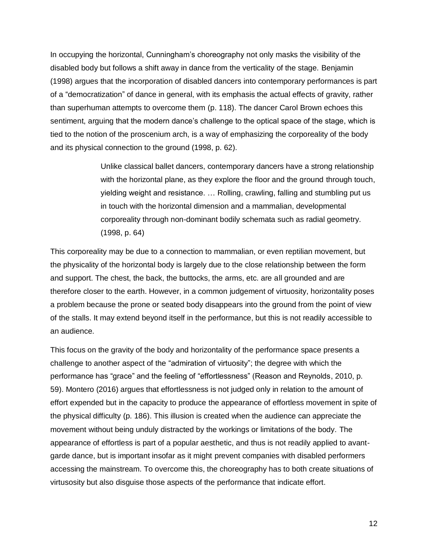In occupying the horizontal, Cunningham's choreography not only masks the visibility of the disabled body but follows a shift away in dance from the verticality of the stage. Benjamin (1998) argues that the incorporation of disabled dancers into contemporary performances is part of a "democratization" of dance in general, with its emphasis the actual effects of gravity, rather than superhuman attempts to overcome them (p. 118). The dancer Carol Brown echoes this sentiment, arguing that the modern dance's challenge to the optical space of the stage, which is tied to the notion of the proscenium arch, is a way of emphasizing the corporeality of the body and its physical connection to the ground (1998, p. 62).

> Unlike classical ballet dancers, contemporary dancers have a strong relationship with the horizontal plane, as they explore the floor and the ground through touch, yielding weight and resistance. … Rolling, crawling, falling and stumbling put us in touch with the horizontal dimension and a mammalian, developmental corporeality through non-dominant bodily schemata such as radial geometry. (1998, p. 64)

This corporeality may be due to a connection to mammalian, or even reptilian movement, but the physicality of the horizontal body is largely due to the close relationship between the form and support. The chest, the back, the buttocks, the arms, etc. are all grounded and are therefore closer to the earth. However, in a common judgement of virtuosity, horizontality poses a problem because the prone or seated body disappears into the ground from the point of view of the stalls. It may extend beyond itself in the performance, but this is not readily accessible to an audience.

This focus on the gravity of the body and horizontality of the performance space presents a challenge to another aspect of the "admiration of virtuosity"; the degree with which the performance has "grace" and the feeling of "effortlessness" (Reason and Reynolds, 2010, p. 59). Montero (2016) argues that effortlessness is not judged only in relation to the amount of effort expended but in the capacity to produce the appearance of effortless movement in spite of the physical difficulty (p. 186). This illusion is created when the audience can appreciate the movement without being unduly distracted by the workings or limitations of the body. The appearance of effortless is part of a popular aesthetic, and thus is not readily applied to avantgarde dance, but is important insofar as it might prevent companies with disabled performers accessing the mainstream. To overcome this, the choreography has to both create situations of virtusosity but also disguise those aspects of the performance that indicate effort.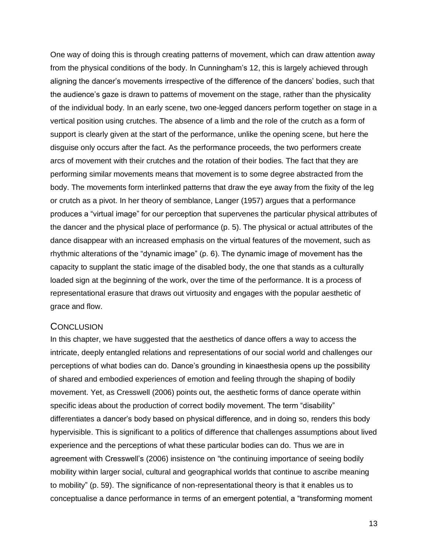One way of doing this is through creating patterns of movement, which can draw attention away from the physical conditions of the body. In Cunningham's 12, this is largely achieved through aligning the dancer's movements irrespective of the difference of the dancers' bodies, such that the audience's gaze is drawn to patterns of movement on the stage, rather than the physicality of the individual body. In an early scene, two one-legged dancers perform together on stage in a vertical position using crutches. The absence of a limb and the role of the crutch as a form of support is clearly given at the start of the performance, unlike the opening scene, but here the disguise only occurs after the fact. As the performance proceeds, the two performers create arcs of movement with their crutches and the rotation of their bodies. The fact that they are performing similar movements means that movement is to some degree abstracted from the body. The movements form interlinked patterns that draw the eye away from the fixity of the leg or crutch as a pivot. In her theory of semblance, Langer (1957) argues that a performance produces a "virtual image" for our perception that supervenes the particular physical attributes of the dancer and the physical place of performance (p. 5). The physical or actual attributes of the dance disappear with an increased emphasis on the virtual features of the movement, such as rhythmic alterations of the "dynamic image" (p. 6). The dynamic image of movement has the capacity to supplant the static image of the disabled body, the one that stands as a culturally loaded sign at the beginning of the work, over the time of the performance. It is a process of representational erasure that draws out virtuosity and engages with the popular aesthetic of grace and flow.

#### **CONCLUSION**

In this chapter, we have suggested that the aesthetics of dance offers a way to access the intricate, deeply entangled relations and representations of our social world and challenges our perceptions of what bodies can do. Dance's grounding in kinaesthesia opens up the possibility of shared and embodied experiences of emotion and feeling through the shaping of bodily movement. Yet, as Cresswell (2006) points out, the aesthetic forms of dance operate within specific ideas about the production of correct bodily movement. The term "disability" differentiates a dancer's body based on physical difference, and in doing so, renders this body hypervisible. This is significant to a politics of difference that challenges assumptions about lived experience and the perceptions of what these particular bodies can do. Thus we are in agreement with Cresswell's (2006) insistence on "the continuing importance of seeing bodily mobility within larger social, cultural and geographical worlds that continue to ascribe meaning to mobility" (p. 59). The significance of non-representational theory is that it enables us to conceptualise a dance performance in terms of an emergent potential, a "transforming moment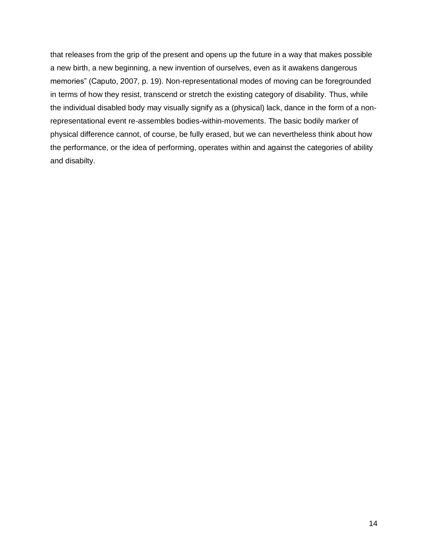that releases from the grip of the present and opens up the future in a way that makes possible a new birth, a new beginning, a new invention of ourselves, even as it awakens dangerous memories" (Caputo, 2007, p. 19). Non-representational modes of moving can be foregrounded in terms of how they resist, transcend or stretch the existing category of disability. Thus, while the individual disabled body may visually signify as a (physical) lack, dance in the form of a nonrepresentational event re-assembles bodies-within-movements. The basic bodily marker of physical difference cannot, of course, be fully erased, but we can nevertheless think about how the performance, or the idea of performing, operates within and against the categories of ability and disabilty.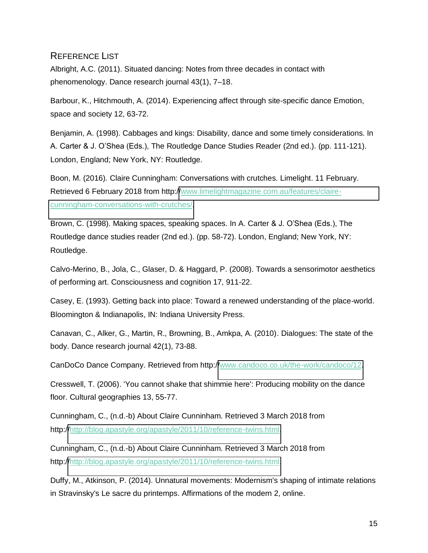# REFERENCE LIST

Albright, A.C. (2011). Situated dancing: Notes from three decades in contact with phenomenology. Dance research journal 43(1), 7–18.

Barbour, K., Hitchmouth, A. (2014). Experiencing affect through site-specific dance Emotion, space and society 12, 63-72.

Benjamin, A. (1998). Cabbages and kings: Disability, dance and some timely considerations. In A. Carter & J. O'Shea (Eds.), The Routledge Dance Studies Reader (2nd ed.). (pp. 111-121). London, England; New York, NY: Routledge.

Boon, M. (2016). Claire Cunningham: Conversations with crutches. Limelight. 11 February. Retrieved 6 February 2018 from http:/[/www.limelightmagazine.com.au/features/claire](http://www.limelightmagazine.com.au/features/claire-cunningham-conversations-with-crutches/)[cunningham-conversations-with-crutches/.](http://www.limelightmagazine.com.au/features/claire-cunningham-conversations-with-crutches/)

Brown, C. (1998). Making spaces, speaking spaces. In A. Carter & J. O'Shea (Eds.), The Routledge dance studies reader (2nd ed.). (pp. 58-72). London, England; New York, NY: Routledge.

Calvo-Merino, B., Jola, C., Glaser, D. & Haggard, P. (2008). Towards a sensorimotor aesthetics of performing art. Consciousness and cognition 17, 911-22.

Casey, E. (1993). Getting back into place: Toward a renewed understanding of the place-world. Bloomington & Indianapolis, IN: Indiana University Press.

Canavan, C., Alker, G., Martin, R., Browning, B., Amkpa, A. (2010). Dialogues: The state of the body. Dance research journal 42(1), 73-88.

CanDoCo Dance Company. Retrieved from http:/[/www.candoco.co.uk/the-work/candoco/12.](http://www.candoco.co.uk/the-work/candoco/12)

Cresswell, T. (2006). 'You cannot shake that shimmie here': Producing mobility on the dance floor. Cultural geographies 13, 55-77.

Cunningham, C., (n.d.-b) About Claire Cunninham. Retrieved 3 March 2018 from http:/[/http://blog.apastyle.org/apastyle/2011/10/reference-twins.html.](http://blog.apastyle.org/apastyle/2011/10/reference-twins.html)

Cunningham, C., (n.d.-b) About Claire Cunninham. Retrieved 3 March 2018 from http:/[/http://blog.apastyle.org/apastyle/2011/10/reference-twins.html.](http://blog.apastyle.org/apastyle/2011/10/reference-twins.html)

Duffy, M., Atkinson, P. (2014). Unnatural movements: Modernism's shaping of intimate relations in Stravinsky's Le sacre du printemps. Affirmations of the modern 2, online.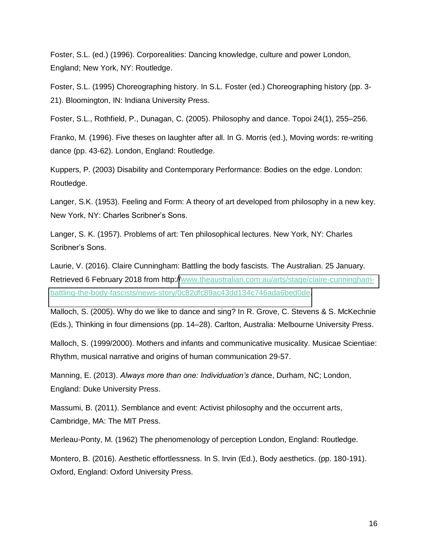Foster, S.L. (ed.) (1996). Corporealities: Dancing knowledge, culture and power London, England; New York, NY: Routledge.

Foster, S.L. (1995) Choreographing history. In S.L. Foster (ed.) Choreographing history (pp. 3- 21). Bloomington, IN: Indiana University Press.

Foster, S.L., Rothfield, P., Dunagan, C. (2005). Philosophy and dance. Topoi 24(1), 255–256.

Franko, M. (1996). Five theses on laughter after all. In G. Morris (ed.), Moving words: re-writing dance (pp. 43-62). London, England: Routledge.

Kuppers, P. (2003) Disability and Contemporary Performance: Bodies on the edge. London: Routledge.

Langer, S.K. (1953). Feeling and Form: A theory of art developed from philosophy in a new key. New York, NY: Charles Scribner's Sons.

Langer, S. K. (1957). Problems of art: Ten philosophical lectures. New York, NY: Charles Scribner's Sons.

Laurie, V. (2016). Claire Cunningham: Battling the body fascists. The Australian. 25 January. Retrieved 6 February 2018 from http:/[/www.theaustralian.com.au/arts/stage/claire-cunningham](http://www.theaustralian.com.au/arts/stage/claire-cunningham-battling-the-body-fascists/news-story/0c82dfc89ac43dd134c746ada6bed0de)[battling-the-body-fascists/news-story/0c82dfc89ac43dd134c746ada6bed0de.](http://www.theaustralian.com.au/arts/stage/claire-cunningham-battling-the-body-fascists/news-story/0c82dfc89ac43dd134c746ada6bed0de)

Malloch, S. (2005). Why do we like to dance and sing? In R. Grove, C. Stevens & S. McKechnie (Eds.), Thinking in four dimensions (pp. 14–28). Carlton, Australia: Melbourne University Press.

Malloch, S. (1999/2000). Mothers and infants and communicative musicality. Musicae Scientiae: Rhythm, musical narrative and origins of human communication 29-57.

Manning, E. (2013). *Always more than one: Individuation's d*ance, Durham, NC; London, England: Duke University Press.

Massumi, B. (2011). Semblance and event: Activist philosophy and the occurrent arts, Cambridge, MA: The MIT Press.

Merleau-Ponty, M. (1962) The phenomenology of perception London, England: Routledge.

Montero, B. (2016). Aesthetic effortlessness. In S. Irvin (Ed.), Body aesthetics. (pp. 180-191). Oxford, England: Oxford University Press.